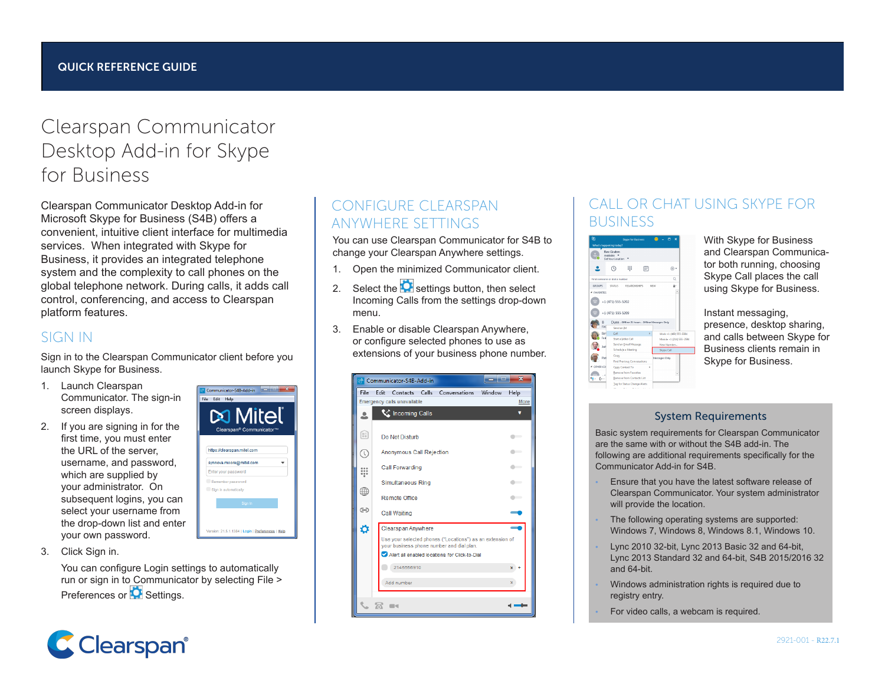# Clearspan Communicator Desktop Add-in for Skype for Business

Clearspan Communicator Desktop Add-in for Microsoft Skype for Business (S4B) offers a convenient, intuitive client interface for multimedia services. When integrated with Skype for Business, it provides an integrated telephone system and the complexity to call phones on the global telephone network. During calls, it adds call control, conferencing, and access to Clearspan platform features.

#### SIGN IN

Sign in to the Clearspan Communicator client before you launch Skype for Business.

- 1. Launch Clearspan Communicator. The sign-in screen displays.
- 2. If you are signing in for the first time, you must enter the URL of the server, username, and password, which are supplied by your administrator. On subsequent logins, you can select your username from the drop-down list and enter your own password.



Communicator-S4B-Add-in

**City** Calle Made

3. Click Sign in.

You can configure Login settings to automatically run or sign in to Communicator by selecting File > Preferences or **C** Settings.



#### Incoming Calls from the settings drop-down menu. 3. Enable or disable Clearspan Anywhere, or configure selected phones to use as extensions of your business phone number.

| File    | Edit                                                                                                   |                             |  | Contacts Calls Conversations | Window | Help                     |
|---------|--------------------------------------------------------------------------------------------------------|-----------------------------|--|------------------------------|--------|--------------------------|
|         |                                                                                                        | Emergency calls unavailable |  |                              |        | More                     |
|         |                                                                                                        | Incoming Calls              |  |                              |        | ▼                        |
| 8       | Do Not Disturb                                                                                         |                             |  |                              |        |                          |
| (V)     | Anonymous Call Rejection                                                                               |                             |  |                              |        |                          |
| <br>000 | <b>Call Forwarding</b>                                                                                 |                             |  |                              |        |                          |
|         | Simultaneous Ring                                                                                      |                             |  |                              |        | $\overline{\phantom{a}}$ |
| ∰       | <b>Remote Office</b>                                                                                   |                             |  |                              |        |                          |
| ⊖       | Call Waiting                                                                                           |                             |  |                              |        |                          |
| o       |                                                                                                        | Clearspan Anywhere          |  |                              |        |                          |
|         | Use your selected phones ("Locations") as an extension of<br>your business phone number and dial plan. |                             |  |                              |        |                          |
|         | Alert all enabled locations for Click-to-Dial                                                          |                             |  |                              |        |                          |
|         |                                                                                                        | 2145556910                  |  |                              |        | $x +$                    |
|         |                                                                                                        | Add number                  |  |                              |        | ×.                       |
|         |                                                                                                        |                             |  |                              |        |                          |

You can use Clearspan Communicator for S4B to change your Clearspan Anywhere settings. 1. Open the minimized Communicator client. 2. Select the  $\Box$  settings button, then select

CONFIGURE CLEARSPAN ANYWHERE SETTINGS

### CALL OR CHAT USING SKYPE FOR **BUSINESS**



With Skype for Business and Clearspan Communicator both running, choosing Skype Call places the call using Skype for Business.

Instant messaging, presence, desktop sharing, and calls between Skype for Business clients remain in Skype for Business.

#### System Requirements

Basic system requirements for Clearspan Communicator are the same with or without the S4B add-in. The following are additional requirements specifically for the Communicator Add-in for S4B.

- Ensure that you have the latest software release of Clearspan Communicator. Your system administrator will provide the location.
- The following operating systems are supported: Windows 7, Windows 8, Windows 8.1, Windows 10.
- Lync 2010 32-bit, Lync 2013 Basic 32 and 64-bit, Lync 2013 Standard 32 and 64-bit, S4B 2015/2016 32 and 64-bit.
- Windows administration rights is required due to registry entry.
- For video calls, a webcam is required.